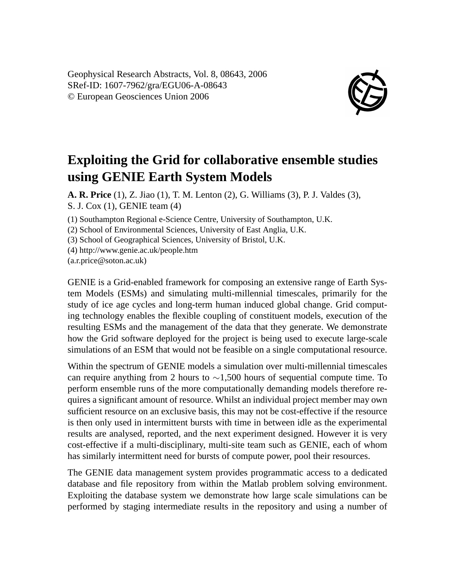Geophysical Research Abstracts, Vol. 8, 08643, 2006 SRef-ID: 1607-7962/gra/EGU06-A-08643 © European Geosciences Union 2006



## **Exploiting the Grid for collaborative ensemble studies using GENIE Earth System Models**

**A. R. Price** (1), Z. Jiao (1), T. M. Lenton (2), G. Williams (3), P. J. Valdes (3), S. J. Cox (1), GENIE team (4)

(1) Southampton Regional e-Science Centre, University of Southampton, U.K.

(2) School of Environmental Sciences, University of East Anglia, U.K.

(3) School of Geographical Sciences, University of Bristol, U.K.

(4) http://www.genie.ac.uk/people.htm

(a.r.price@soton.ac.uk)

GENIE is a Grid-enabled framework for composing an extensive range of Earth System Models (ESMs) and simulating multi-millennial timescales, primarily for the study of ice age cycles and long-term human induced global change. Grid computing technology enables the flexible coupling of constituent models, execution of the resulting ESMs and the management of the data that they generate. We demonstrate how the Grid software deployed for the project is being used to execute large-scale simulations of an ESM that would not be feasible on a single computational resource.

Within the spectrum of GENIE models a simulation over multi-millennial timescales can require anything from 2 hours to  $\sim$ 1,500 hours of sequential compute time. To perform ensemble runs of the more computationally demanding models therefore requires a significant amount of resource. Whilst an individual project member may own sufficient resource on an exclusive basis, this may not be cost-effective if the resource is then only used in intermittent bursts with time in between idle as the experimental results are analysed, reported, and the next experiment designed. However it is very cost-effective if a multi-disciplinary, multi-site team such as GENIE, each of whom has similarly intermittent need for bursts of compute power, pool their resources.

The GENIE data management system provides programmatic access to a dedicated database and file repository from within the Matlab problem solving environment. Exploiting the database system we demonstrate how large scale simulations can be performed by staging intermediate results in the repository and using a number of